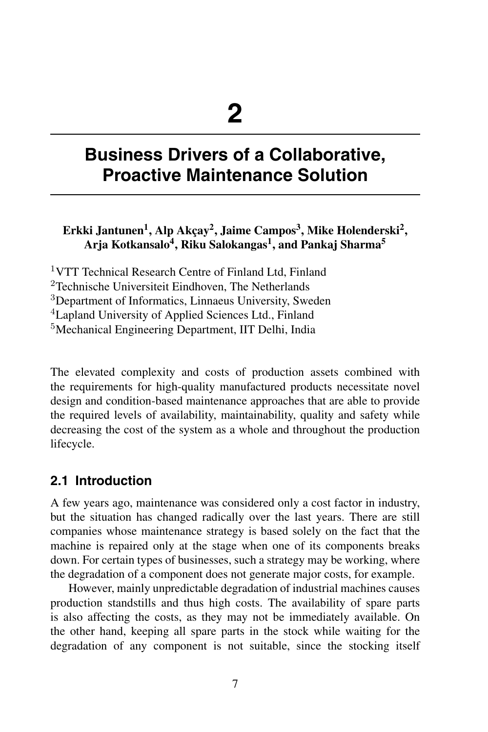### $\mathbf{E}$ rkki Jantunen<sup>1</sup>, Alp Akçay<sup>2</sup>, Jaime Campos<sup>3</sup>, Mike Holenderski<sup>2</sup>, **Arja Kotkansalo<sup>4</sup> , Riku Salokangas<sup>1</sup> , and Pankaj Sharma<sup>5</sup>**

VTT Technical Research Centre of Finland Ltd, Finland Technische Universiteit Eindhoven. The Netherlands Department of Informatics, Linnaeus University, Sweden Lapland University of Applied Sciences Ltd., Finland Mechanical Engineering Department, IIT Delhi, India

The elevated complexity and costs of production assets combined with the requirements for high-quality manufactured products necessitate novel design and condition-based maintenance approaches that are able to provide the required levels of availability, maintainability, quality and safety while decreasing the cost of the system as a whole and throughout the production lifecycle.

### **2.1 Introduction**

A few years ago, maintenance was considered only a cost factor in industry, but the situation has changed radically over the last years. There are still companies whose maintenance strategy is based solely on the fact that the machine is repaired only at the stage when one of its components breaks down. For certain types of businesses, such a strategy may be working, where the degradation of a component does not generate major costs, for example.

However, mainly unpredictable degradation of industrial machines causes production standstills and thus high costs. The availability of spare parts is also affecting the costs, as they may not be immediately available. On the other hand, keeping all spare parts in the stock while waiting for the degradation of any component is not suitable, since the stocking itself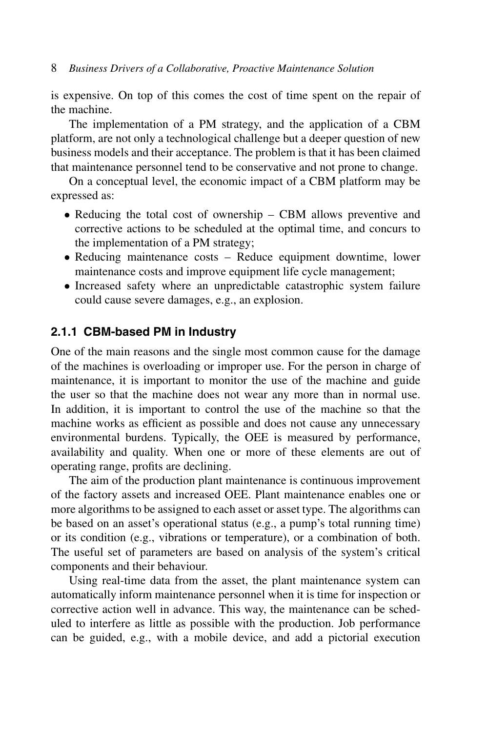is expensive. On top of this comes the cost of time spent on the repair of the machine.

The implementation of a PM strategy, and the application of a CBM platform, are not only a technological challenge but a deeper question of new business models and their acceptance. The problem is that it has been claimed that maintenance personnel tend to be conservative and not prone to change.

On a conceptual level, the economic impact of a CBM platform may be expressed as:

- Reducing the total cost of ownership CBM allows preventive and corrective actions to be scheduled at the optimal time, and concurs to the implementation of a PM strategy;
- Reducing maintenance costs Reduce equipment downtime, lower maintenance costs and improve equipment life cycle management;
- Increased safety where an unpredictable catastrophic system failure could cause severe damages, e.g., an explosion.

#### **2.1.1 CBM-based PM in Industry**

One of the main reasons and the single most common cause for the damage of the machines is overloading or improper use. For the person in charge of maintenance, it is important to monitor the use of the machine and guide the user so that the machine does not wear any more than in normal use. In addition, it is important to control the use of the machine so that the machine works as efficient as possible and does not cause any unnecessary environmental burdens. Typically, the OEE is measured by performance, availability and quality. When one or more of these elements are out of operating range, profits are declining.

The aim of the production plant maintenance is continuous improvement of the factory assets and increased OEE. Plant maintenance enables one or more algorithms to be assigned to each asset or asset type. The algorithms can be based on an asset's operational status (e.g., a pump's total running time) or its condition (e.g., vibrations or temperature), or a combination of both. The useful set of parameters are based on analysis of the system's critical components and their behaviour.

Using real-time data from the asset, the plant maintenance system can automatically inform maintenance personnel when it is time for inspection or corrective action well in advance. This way, the maintenance can be scheduled to interfere as little as possible with the production. Job performance can be guided, e.g., with a mobile device, and add a pictorial execution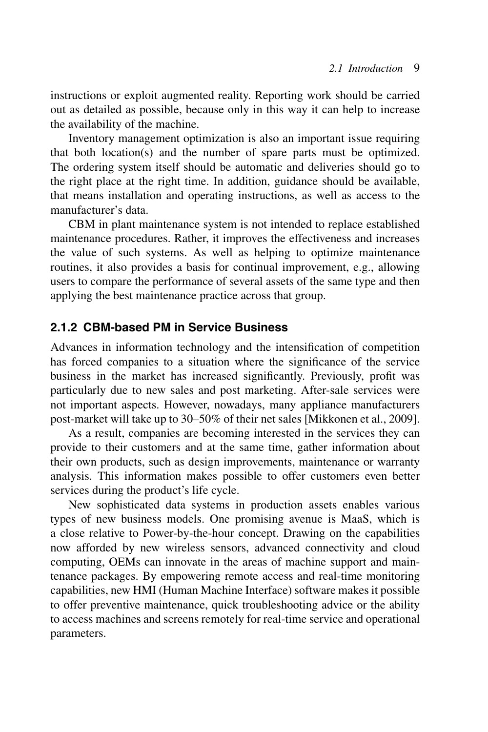instructions or exploit augmented reality. Reporting work should be carried out as detailed as possible, because only in this way it can help to increase the availability of the machine.

Inventory management optimization is also an important issue requiring that both location(s) and the number of spare parts must be optimized. The ordering system itself should be automatic and deliveries should go to the right place at the right time. In addition, guidance should be available, that means installation and operating instructions, as well as access to the manufacturer's data.

CBM in plant maintenance system is not intended to replace established maintenance procedures. Rather, it improves the effectiveness and increases the value of such systems. As well as helping to optimize maintenance routines, it also provides a basis for continual improvement, e.g., allowing users to compare the performance of several assets of the same type and then applying the best maintenance practice across that group.

### **2.1.2 CBM-based PM in Service Business**

Advances in information technology and the intensification of competition has forced companies to a situation where the significance of the service business in the market has increased significantly. Previously, profit was particularly due to new sales and post marketing. After-sale services were not important aspects. However, nowadays, many appliance manufacturers post-market will take up to 30–50% of their net sales [Mikkonen et al., 2009].

As a result, companies are becoming interested in the services they can provide to their customers and at the same time, gather information about their own products, such as design improvements, maintenance or warranty analysis. This information makes possible to offer customers even better services during the product's life cycle.

New sophisticated data systems in production assets enables various types of new business models. One promising avenue is MaaS, which is a close relative to Power-by-the-hour concept. Drawing on the capabilities now afforded by new wireless sensors, advanced connectivity and cloud computing, OEMs can innovate in the areas of machine support and maintenance packages. By empowering remote access and real-time monitoring capabilities, new HMI (Human Machine Interface) software makes it possible to offer preventive maintenance, quick troubleshooting advice or the ability to access machines and screens remotely for real-time service and operational parameters.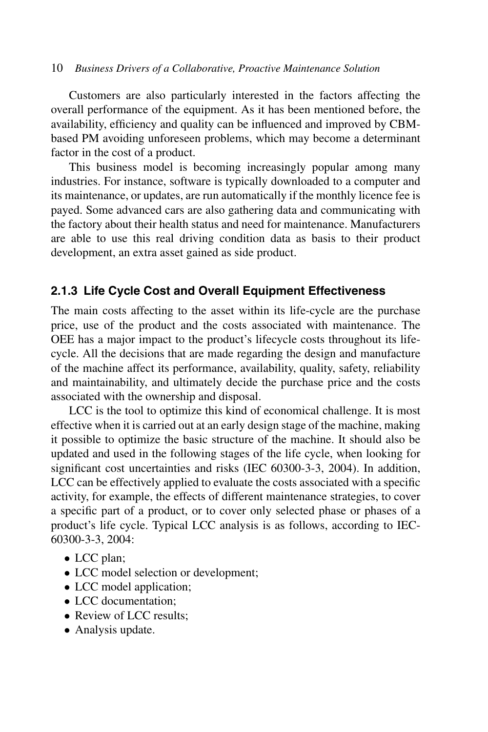Customers are also particularly interested in the factors affecting the overall performance of the equipment. As it has been mentioned before, the availability, efficiency and quality can be influenced and improved by CBMbased PM avoiding unforeseen problems, which may become a determinant factor in the cost of a product.

This business model is becoming increasingly popular among many industries. For instance, software is typically downloaded to a computer and its maintenance, or updates, are run automatically if the monthly licence fee is payed. Some advanced cars are also gathering data and communicating with the factory about their health status and need for maintenance. Manufacturers are able to use this real driving condition data as basis to their product development, an extra asset gained as side product.

#### **2.1.3 Life Cycle Cost and Overall Equipment Effectiveness**

The main costs affecting to the asset within its life-cycle are the purchase price, use of the product and the costs associated with maintenance. The OEE has a major impact to the product's lifecycle costs throughout its lifecycle. All the decisions that are made regarding the design and manufacture of the machine affect its performance, availability, quality, safety, reliability and maintainability, and ultimately decide the purchase price and the costs associated with the ownership and disposal.

LCC is the tool to optimize this kind of economical challenge. It is most effective when it is carried out at an early design stage of the machine, making it possible to optimize the basic structure of the machine. It should also be updated and used in the following stages of the life cycle, when looking for significant cost uncertainties and risks (IEC 60300-3-3, 2004). In addition, LCC can be effectively applied to evaluate the costs associated with a specific activity, for example, the effects of different maintenance strategies, to cover a specific part of a product, or to cover only selected phase or phases of a product's life cycle. Typical LCC analysis is as follows, according to IEC-60300-3-3, 2004:

- LCC plan;
- LCC model selection or development;
- LCC model application;
- LCC documentation:
- Review of LCC results;
- Analysis update.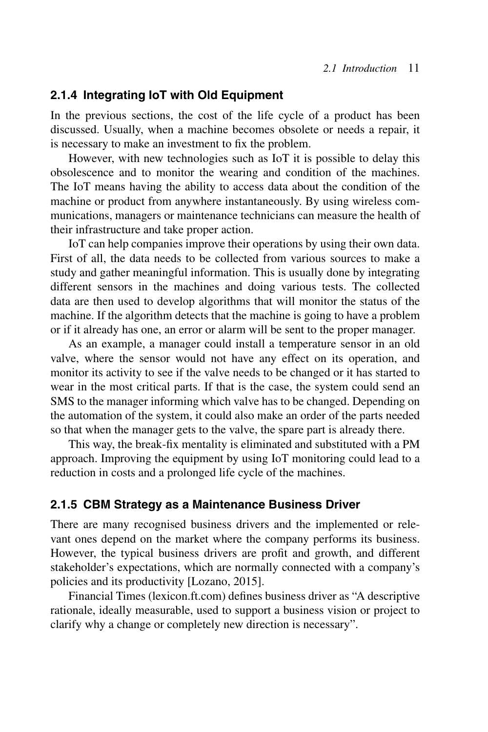#### **2.1.4 Integrating IoT with Old Equipment**

In the previous sections, the cost of the life cycle of a product has been discussed. Usually, when a machine becomes obsolete or needs a repair, it is necessary to make an investment to fix the problem.

However, with new technologies such as IoT it is possible to delay this obsolescence and to monitor the wearing and condition of the machines. The IoT means having the ability to access data about the condition of the machine or product from anywhere instantaneously. By using wireless communications, managers or maintenance technicians can measure the health of their infrastructure and take proper action.

IoT can help companies improve their operations by using their own data. First of all, the data needs to be collected from various sources to make a study and gather meaningful information. This is usually done by integrating different sensors in the machines and doing various tests. The collected data are then used to develop algorithms that will monitor the status of the machine. If the algorithm detects that the machine is going to have a problem or if it already has one, an error or alarm will be sent to the proper manager.

As an example, a manager could install a temperature sensor in an old valve, where the sensor would not have any effect on its operation, and monitor its activity to see if the valve needs to be changed or it has started to wear in the most critical parts. If that is the case, the system could send an SMS to the manager informing which valve has to be changed. Depending on the automation of the system, it could also make an order of the parts needed so that when the manager gets to the valve, the spare part is already there.

This way, the break-fix mentality is eliminated and substituted with a PM approach. Improving the equipment by using IoT monitoring could lead to a reduction in costs and a prolonged life cycle of the machines.

#### **2.1.5 CBM Strategy as a Maintenance Business Driver**

There are many recognised business drivers and the implemented or relevant ones depend on the market where the company performs its business. However, the typical business drivers are profit and growth, and different stakeholder's expectations, which are normally connected with a company's policies and its productivity [Lozano, 2015].

Financial Times (lexicon.ft.com) defines business driver as "A descriptive rationale, ideally measurable, used to support a business vision or project to clarify why a change or completely new direction is necessary".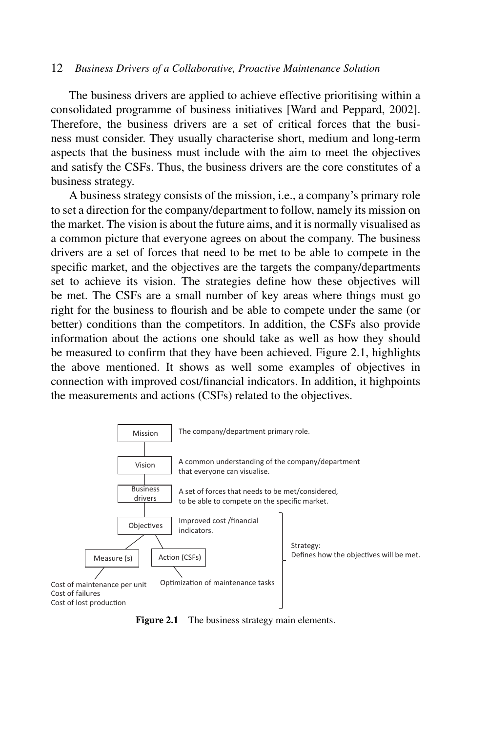The business drivers are applied to achieve effective prioritising within a consolidated programme of business initiatives [Ward and Peppard, 2002]. Therefore, the business drivers are a set of critical forces that the business must consider. They usually characterise short, medium and long-term aspects that the business must include with the aim to meet the objectives and satisfy the CSFs. Thus, the business drivers are the core constitutes of a business strategy.

A business strategy consists of the mission, i.e., a company's primary role to set a direction for the company/department to follow, namely its mission on the market. The vision is about the future aims, and it is normally visualised as a common picture that everyone agrees on about the company. The business drivers are a set of forces that need to be met to be able to compete in the specific market, and the objectives are the targets the company/departments set to achieve its vision. The strategies define how these objectives will be met. The CSFs are a small number of key areas where things must go right for the business to flourish and be able to compete under the same (or better) conditions than the competitors. In addition, the CSFs also provide information about the actions one should take as well as how they should be measured to confirm that they have been achieved. Figure 2.1, highlights the above mentioned. It shows as well some examples of objectives in connection with improved cost/financial indicators. In addition, it highpoints the measurements and actions (CSFs) related to the objectives.



**Figure 2.1** The business strategy main elements.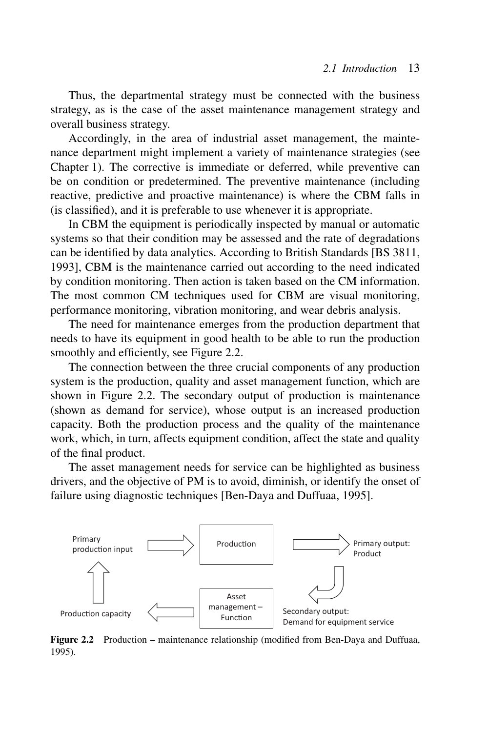Thus, the departmental strategy must be connected with the business strategy, as is the case of the asset maintenance management strategy and overall business strategy.

Accordingly, in the area of industrial asset management, the maintenance department might implement a variety of maintenance strategies (see Chapter 1). The corrective is immediate or deferred, while preventive can be on condition or predetermined. The preventive maintenance (including reactive, predictive and proactive maintenance) is where the CBM falls in (is classified), and it is preferable to use whenever it is appropriate.

In CBM the equipment is periodically inspected by manual or automatic systems so that their condition may be assessed and the rate of degradations can be identified by data analytics. According to British Standards [BS 3811, 1993], CBM is the maintenance carried out according to the need indicated by condition monitoring. Then action is taken based on the CM information. The most common CM techniques used for CBM are visual monitoring, performance monitoring, vibration monitoring, and wear debris analysis.

The need for maintenance emerges from the production department that needs to have its equipment in good health to be able to run the production smoothly and efficiently, see Figure 2.2.

The connection between the three crucial components of any production system is the production, quality and asset management function, which are shown in Figure 2.2. The secondary output of production is maintenance (shown as demand for service), whose output is an increased production capacity. Both the production process and the quality of the maintenance work, which, in turn, affects equipment condition, affect the state and quality of the final product.

The asset management needs for service can be highlighted as business drivers, and the objective of PM is to avoid, diminish, or identify the onset of failure using diagnostic techniques [Ben-Daya and Duffuaa, 1995].



**Figure 2.2** Production – maintenance relationship (modified from Ben-Daya and Duffuaa, 1995).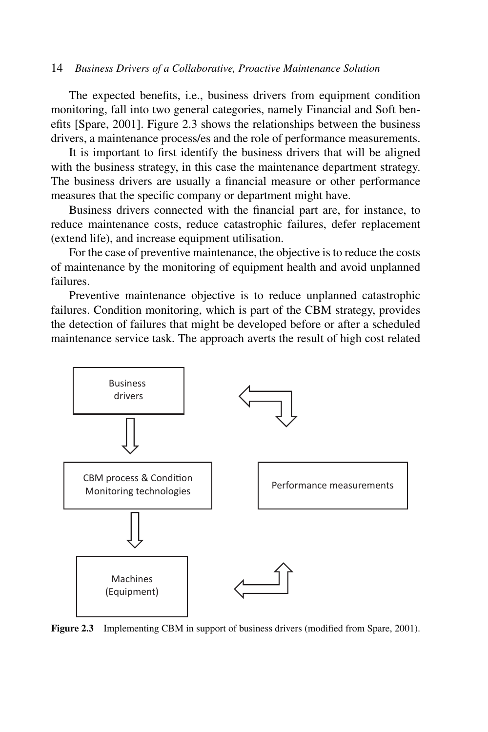The expected benefits, i.e., business drivers from equipment condition monitoring, fall into two general categories, namely Financial and Soft benefits [Spare, 2001]. Figure 2.3 shows the relationships between the business drivers, a maintenance process/es and the role of performance measurements.

It is important to first identify the business drivers that will be aligned with the business strategy, in this case the maintenance department strategy. The business drivers are usually a financial measure or other performance measures that the specific company or department might have.

Business drivers connected with the financial part are, for instance, to reduce maintenance costs, reduce catastrophic failures, defer replacement (extend life), and increase equipment utilisation.

For the case of preventive maintenance, the objective is to reduce the costs of maintenance by the monitoring of equipment health and avoid unplanned failures.

Preventive maintenance objective is to reduce unplanned catastrophic failures. Condition monitoring, which is part of the CBM strategy, provides the detection of failures that might be developed before or after a scheduled maintenance service task. The approach averts the result of high cost related



**Figure 2.3** Implementing CBM in support of business drivers (modified from Spare, 2001).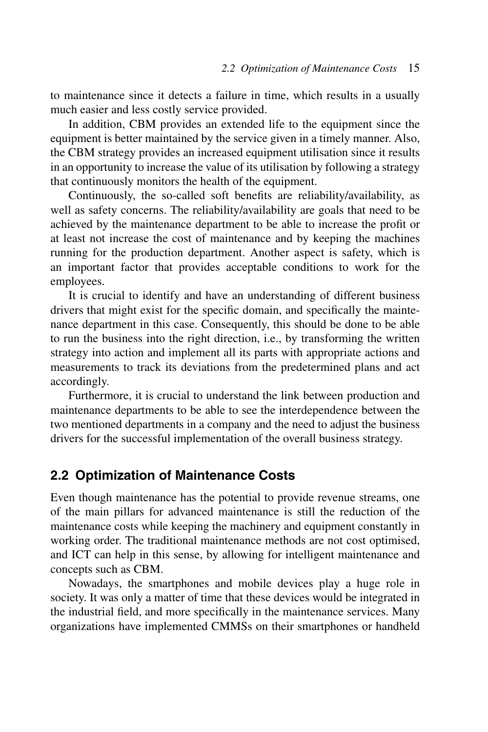to maintenance since it detects a failure in time, which results in a usually much easier and less costly service provided.

In addition, CBM provides an extended life to the equipment since the equipment is better maintained by the service given in a timely manner. Also, the CBM strategy provides an increased equipment utilisation since it results in an opportunity to increase the value of its utilisation by following a strategy that continuously monitors the health of the equipment.

Continuously, the so-called soft benefits are reliability/availability, as well as safety concerns. The reliability/availability are goals that need to be achieved by the maintenance department to be able to increase the profit or at least not increase the cost of maintenance and by keeping the machines running for the production department. Another aspect is safety, which is an important factor that provides acceptable conditions to work for the employees.

It is crucial to identify and have an understanding of different business drivers that might exist for the specific domain, and specifically the maintenance department in this case. Consequently, this should be done to be able to run the business into the right direction, i.e., by transforming the written strategy into action and implement all its parts with appropriate actions and measurements to track its deviations from the predetermined plans and act accordingly.

Furthermore, it is crucial to understand the link between production and maintenance departments to be able to see the interdependence between the two mentioned departments in a company and the need to adjust the business drivers for the successful implementation of the overall business strategy.

### **2.2 Optimization of Maintenance Costs**

Even though maintenance has the potential to provide revenue streams, one of the main pillars for advanced maintenance is still the reduction of the maintenance costs while keeping the machinery and equipment constantly in working order. The traditional maintenance methods are not cost optimised, and ICT can help in this sense, by allowing for intelligent maintenance and concepts such as CBM.

Nowadays, the smartphones and mobile devices play a huge role in society. It was only a matter of time that these devices would be integrated in the industrial field, and more specifically in the maintenance services. Many organizations have implemented CMMSs on their smartphones or handheld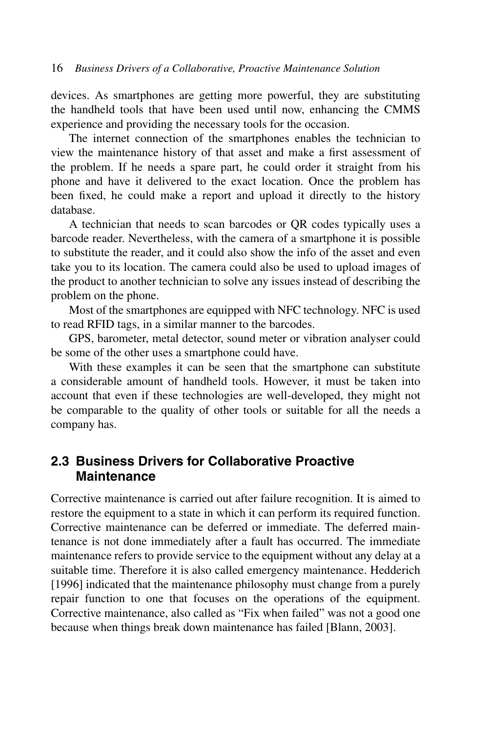devices. As smartphones are getting more powerful, they are substituting the handheld tools that have been used until now, enhancing the CMMS experience and providing the necessary tools for the occasion.

The internet connection of the smartphones enables the technician to view the maintenance history of that asset and make a first assessment of the problem. If he needs a spare part, he could order it straight from his phone and have it delivered to the exact location. Once the problem has been fixed, he could make a report and upload it directly to the history database.

A technician that needs to scan barcodes or QR codes typically uses a barcode reader. Nevertheless, with the camera of a smartphone it is possible to substitute the reader, and it could also show the info of the asset and even take you to its location. The camera could also be used to upload images of the product to another technician to solve any issues instead of describing the problem on the phone.

Most of the smartphones are equipped with NFC technology. NFC is used to read RFID tags, in a similar manner to the barcodes.

GPS, barometer, metal detector, sound meter or vibration analyser could be some of the other uses a smartphone could have.

With these examples it can be seen that the smartphone can substitute a considerable amount of handheld tools. However, it must be taken into account that even if these technologies are well-developed, they might not be comparable to the quality of other tools or suitable for all the needs a company has.

### **2.3 Business Drivers for Collaborative Proactive Maintenance**

Corrective maintenance is carried out after failure recognition. It is aimed to restore the equipment to a state in which it can perform its required function. Corrective maintenance can be deferred or immediate. The deferred maintenance is not done immediately after a fault has occurred. The immediate maintenance refers to provide service to the equipment without any delay at a suitable time. Therefore it is also called emergency maintenance. Hedderich [1996] indicated that the maintenance philosophy must change from a purely repair function to one that focuses on the operations of the equipment. Corrective maintenance, also called as "Fix when failed" was not a good one because when things break down maintenance has failed [Blann, 2003].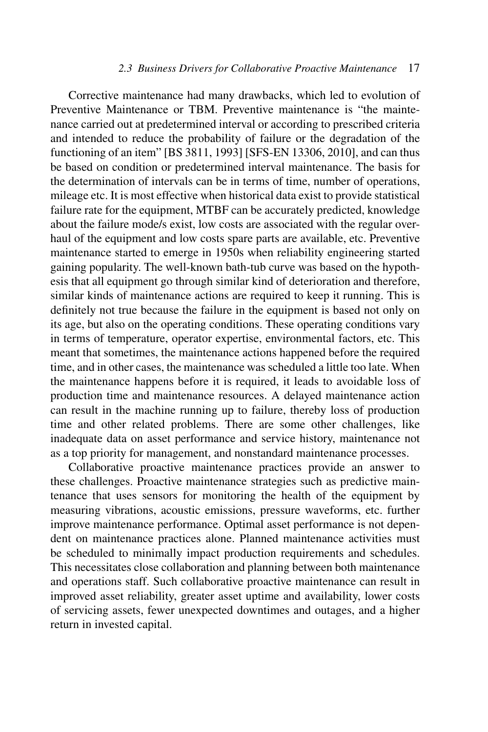Corrective maintenance had many drawbacks, which led to evolution of Preventive Maintenance or TBM. Preventive maintenance is "the maintenance carried out at predetermined interval or according to prescribed criteria and intended to reduce the probability of failure or the degradation of the functioning of an item" [BS 3811, 1993] [SFS-EN 13306, 2010], and can thus be based on condition or predetermined interval maintenance. The basis for the determination of intervals can be in terms of time, number of operations, mileage etc. It is most effective when historical data exist to provide statistical failure rate for the equipment, MTBF can be accurately predicted, knowledge about the failure mode/s exist, low costs are associated with the regular overhaul of the equipment and low costs spare parts are available, etc. Preventive maintenance started to emerge in 1950s when reliability engineering started gaining popularity. The well-known bath-tub curve was based on the hypothesis that all equipment go through similar kind of deterioration and therefore, similar kinds of maintenance actions are required to keep it running. This is definitely not true because the failure in the equipment is based not only on its age, but also on the operating conditions. These operating conditions vary in terms of temperature, operator expertise, environmental factors, etc. This meant that sometimes, the maintenance actions happened before the required time, and in other cases, the maintenance was scheduled a little too late. When the maintenance happens before it is required, it leads to avoidable loss of production time and maintenance resources. A delayed maintenance action can result in the machine running up to failure, thereby loss of production time and other related problems. There are some other challenges, like inadequate data on asset performance and service history, maintenance not as a top priority for management, and nonstandard maintenance processes.

Collaborative proactive maintenance practices provide an answer to these challenges. Proactive maintenance strategies such as predictive maintenance that uses sensors for monitoring the health of the equipment by measuring vibrations, acoustic emissions, pressure waveforms, etc. further improve maintenance performance. Optimal asset performance is not dependent on maintenance practices alone. Planned maintenance activities must be scheduled to minimally impact production requirements and schedules. This necessitates close collaboration and planning between both maintenance and operations staff. Such collaborative proactive maintenance can result in improved asset reliability, greater asset uptime and availability, lower costs of servicing assets, fewer unexpected downtimes and outages, and a higher return in invested capital.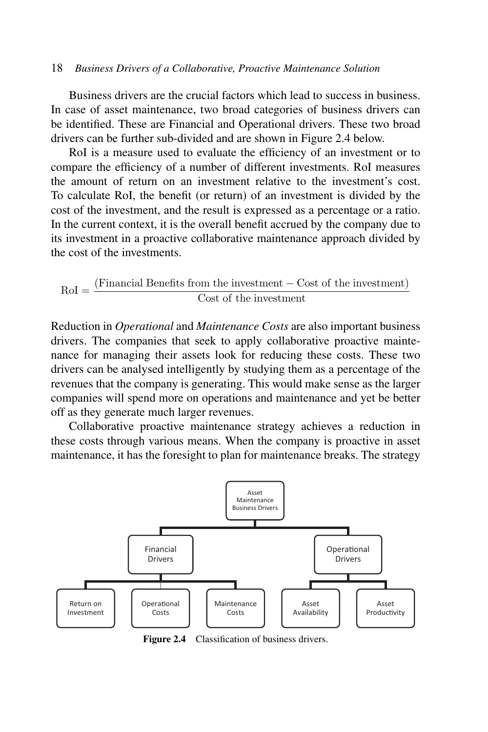Business drivers are the crucial factors which lead to success in business. In case of asset maintenance, two broad categories of business drivers can be identified. These are Financial and Operational drivers. These two broad drivers can be further sub-divided and are shown in Figure 2.4 below.

RoI is a measure used to evaluate the efficiency of an investment or to compare the efficiency of a number of different investments. RoI measures the amount of return on an investment relative to the investment's cost. To calculate RoI, the benefit (or return) of an investment is divided by the cost of the investment, and the result is expressed as a percentage or a ratio. In the current context, it is the overall benefit accrued by the company due to its investment in a proactive collaborative maintenance approach divided by the cost of the investments.

$$
RoI = \frac{(Financial Benefits from the investment - Cost of the investment)}{Cost of the investment}
$$

Reduction in *Operational* and *Maintenance Costs* are also important business drivers. The companies that seek to apply collaborative proactive maintenance for managing their assets look for reducing these costs. These two drivers can be analysed intelligently by studying them as a percentage of the revenues that the company is generating. This would make sense as the larger companies will spend more on operations and maintenance and yet be better off as they generate much larger revenues.

Collaborative proactive maintenance strategy achieves a reduction in these costs through various means. When the company is proactive in asset maintenance, it has the foresight to plan for maintenance breaks. The strategy



**Figure 2.4** Classification of business drivers.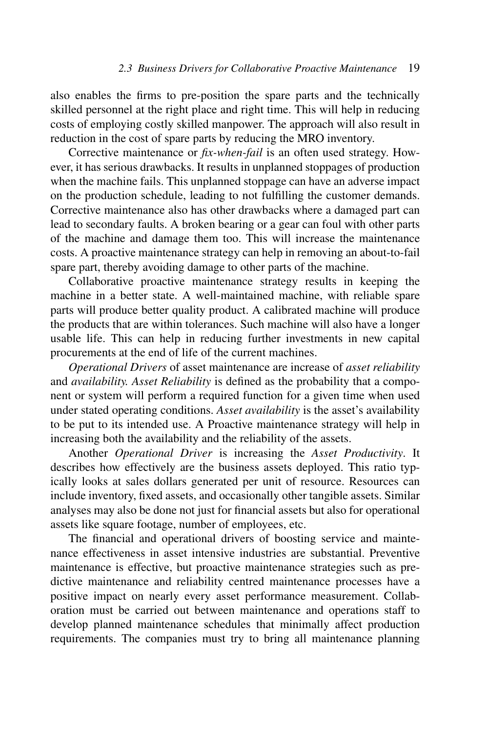also enables the firms to pre-position the spare parts and the technically skilled personnel at the right place and right time. This will help in reducing costs of employing costly skilled manpower. The approach will also result in reduction in the cost of spare parts by reducing the MRO inventory.

Corrective maintenance or *fix-when-fail* is an often used strategy. However, it has serious drawbacks. It results in unplanned stoppages of production when the machine fails. This unplanned stoppage can have an adverse impact on the production schedule, leading to not fulfilling the customer demands. Corrective maintenance also has other drawbacks where a damaged part can lead to secondary faults. A broken bearing or a gear can foul with other parts of the machine and damage them too. This will increase the maintenance costs. A proactive maintenance strategy can help in removing an about-to-fail spare part, thereby avoiding damage to other parts of the machine.

Collaborative proactive maintenance strategy results in keeping the machine in a better state. A well-maintained machine, with reliable spare parts will produce better quality product. A calibrated machine will produce the products that are within tolerances. Such machine will also have a longer usable life. This can help in reducing further investments in new capital procurements at the end of life of the current machines.

*Operational Drivers* of asset maintenance are increase of *asset reliability* and *availability. Asset Reliability* is defined as the probability that a component or system will perform a required function for a given time when used under stated operating conditions. *Asset availability* is the asset's availability to be put to its intended use. A Proactive maintenance strategy will help in increasing both the availability and the reliability of the assets.

Another *Operational Driver* is increasing the *Asset Productivity*. It describes how effectively are the business assets deployed. This ratio typically looks at sales dollars generated per unit of resource. Resources can include inventory, fixed assets, and occasionally other tangible assets. Similar analyses may also be done not just for financial assets but also for operational assets like square footage, number of employees, etc.

The financial and operational drivers of boosting service and maintenance effectiveness in asset intensive industries are substantial. Preventive maintenance is effective, but proactive maintenance strategies such as predictive maintenance and reliability centred maintenance processes have a positive impact on nearly every asset performance measurement. Collaboration must be carried out between maintenance and operations staff to develop planned maintenance schedules that minimally affect production requirements. The companies must try to bring all maintenance planning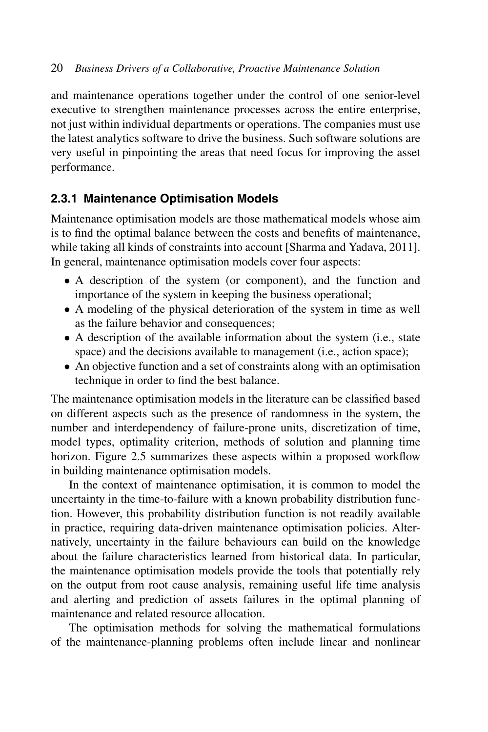and maintenance operations together under the control of one senior-level executive to strengthen maintenance processes across the entire enterprise, not just within individual departments or operations. The companies must use the latest analytics software to drive the business. Such software solutions are very useful in pinpointing the areas that need focus for improving the asset performance.

### **2.3.1 Maintenance Optimisation Models**

Maintenance optimisation models are those mathematical models whose aim is to find the optimal balance between the costs and benefits of maintenance, while taking all kinds of constraints into account [Sharma and Yadava, 2011]. In general, maintenance optimisation models cover four aspects:

- A description of the system (or component), and the function and importance of the system in keeping the business operational;
- A modeling of the physical deterioration of the system in time as well as the failure behavior and consequences;
- A description of the available information about the system (i.e., state space) and the decisions available to management (i.e., action space);
- An objective function and a set of constraints along with an optimisation technique in order to find the best balance.

The maintenance optimisation models in the literature can be classified based on different aspects such as the presence of randomness in the system, the number and interdependency of failure-prone units, discretization of time, model types, optimality criterion, methods of solution and planning time horizon. Figure 2.5 summarizes these aspects within a proposed workflow in building maintenance optimisation models.

In the context of maintenance optimisation, it is common to model the uncertainty in the time-to-failure with a known probability distribution function. However, this probability distribution function is not readily available in practice, requiring data-driven maintenance optimisation policies. Alternatively, uncertainty in the failure behaviours can build on the knowledge about the failure characteristics learned from historical data. In particular, the maintenance optimisation models provide the tools that potentially rely on the output from root cause analysis, remaining useful life time analysis and alerting and prediction of assets failures in the optimal planning of maintenance and related resource allocation.

The optimisation methods for solving the mathematical formulations of the maintenance-planning problems often include linear and nonlinear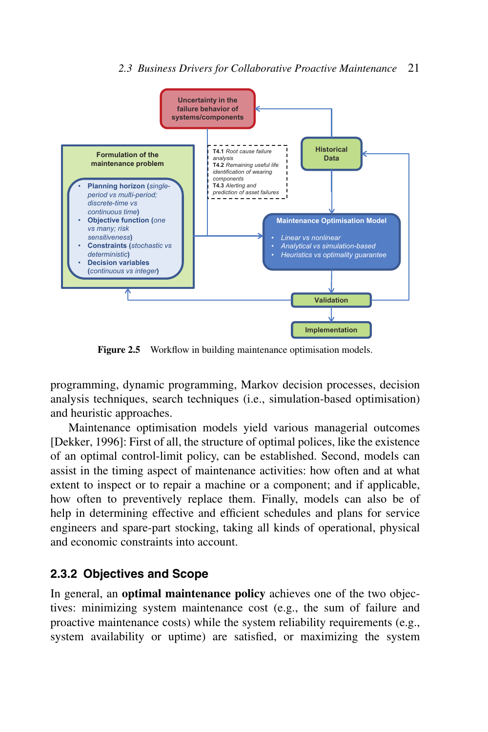#### *2.3 Business Drivers for Collaborative Proactive Maintenance* 21



**Figure 2.5** Workflow in building maintenance optimisation models.

programming, dynamic programming, Markov decision processes, decision analysis techniques, search techniques (i.e., simulation-based optimisation) and heuristic approaches.

Maintenance optimisation models yield various managerial outcomes [Dekker, 1996]: First of all, the structure of optimal polices, like the existence of an optimal control-limit policy, can be established. Second, models can assist in the timing aspect of maintenance activities: how often and at what extent to inspect or to repair a machine or a component; and if applicable, how often to preventively replace them. Finally, models can also be of help in determining effective and efficient schedules and plans for service engineers and spare-part stocking, taking all kinds of operational, physical and economic constraints into account.

### **2.3.2 Objectives and Scope**

In general, an **optimal maintenance policy** achieves one of the two objectives: minimizing system maintenance cost (e.g., the sum of failure and proactive maintenance costs) while the system reliability requirements (e.g., system availability or uptime) are satisfied, or maximizing the system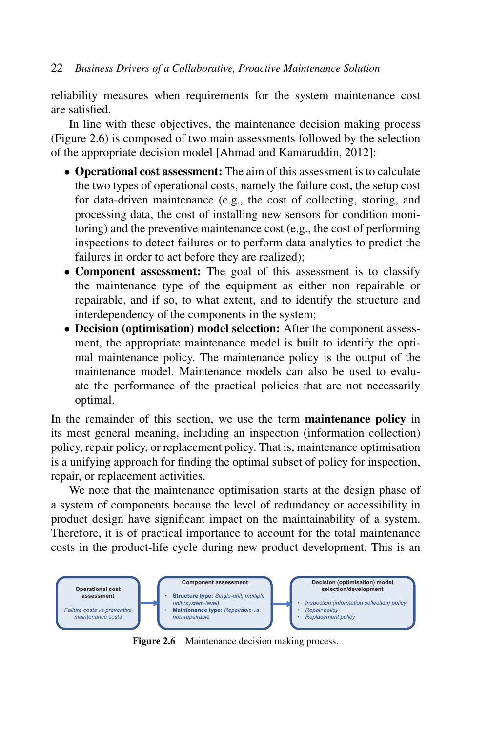reliability measures when requirements for the system maintenance cost are satisfied.

In line with these objectives, the maintenance decision making process (Figure 2.6) is composed of two main assessments followed by the selection of the appropriate decision model [Ahmad and Kamaruddin, 2012]:

- **Operational cost assessment:** The aim of this assessment is to calculate the two types of operational costs, namely the failure cost, the setup cost for data-driven maintenance (e.g., the cost of collecting, storing, and processing data, the cost of installing new sensors for condition monitoring) and the preventive maintenance cost (e.g., the cost of performing inspections to detect failures or to perform data analytics to predict the failures in order to act before they are realized);
- **Component assessment:** The goal of this assessment is to classify the maintenance type of the equipment as either non repairable or repairable, and if so, to what extent, and to identify the structure and interdependency of the components in the system;
- **Decision (optimisation) model selection:** After the component assessment, the appropriate maintenance model is built to identify the optimal maintenance policy. The maintenance policy is the output of the maintenance model. Maintenance models can also be used to evaluate the performance of the practical policies that are not necessarily optimal.

In the remainder of this section, we use the term **maintenance policy** in its most general meaning, including an inspection (information collection) policy, repair policy, or replacement policy. That is, maintenance optimisation is a unifying approach for finding the optimal subset of policy for inspection, repair, or replacement activities.

We note that the maintenance optimisation starts at the design phase of a system of components because the level of redundancy or accessibility in product design have significant impact on the maintainability of a system. Therefore, it is of practical importance to account for the total maintenance costs in the product-life cycle during new product development. This is an



Figure 2.6 Maintenance decision making process.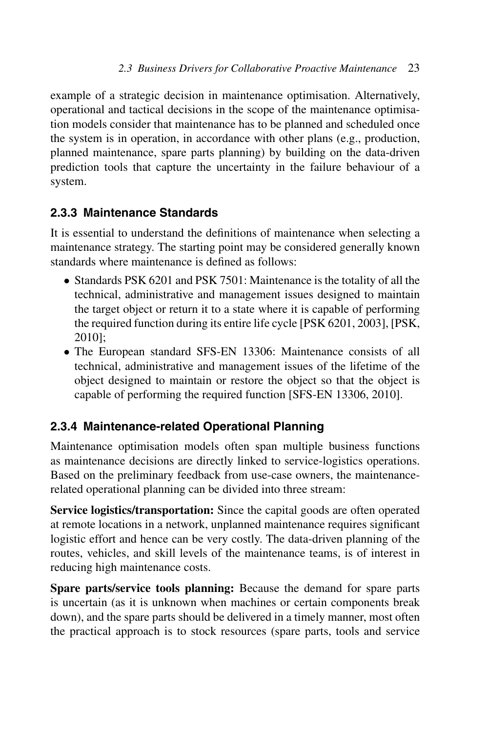example of a strategic decision in maintenance optimisation. Alternatively, operational and tactical decisions in the scope of the maintenance optimisation models consider that maintenance has to be planned and scheduled once the system is in operation, in accordance with other plans (e.g., production, planned maintenance, spare parts planning) by building on the data-driven prediction tools that capture the uncertainty in the failure behaviour of a system.

# **2.3.3 Maintenance Standards**

It is essential to understand the definitions of maintenance when selecting a maintenance strategy. The starting point may be considered generally known standards where maintenance is defined as follows:

- Standards PSK 6201 and PSK 7501: Maintenance is the totality of all the technical, administrative and management issues designed to maintain the target object or return it to a state where it is capable of performing the required function during its entire life cycle [PSK 6201, 2003], [PSK, 2010];
- The European standard SFS-EN 13306: Maintenance consists of all technical, administrative and management issues of the lifetime of the object designed to maintain or restore the object so that the object is capable of performing the required function [SFS-EN 13306, 2010].

# **2.3.4 Maintenance-related Operational Planning**

Maintenance optimisation models often span multiple business functions as maintenance decisions are directly linked to service-logistics operations. Based on the preliminary feedback from use-case owners, the maintenancerelated operational planning can be divided into three stream:

**Service logistics/transportation:** Since the capital goods are often operated at remote locations in a network, unplanned maintenance requires significant logistic effort and hence can be very costly. The data-driven planning of the routes, vehicles, and skill levels of the maintenance teams, is of interest in reducing high maintenance costs.

**Spare parts/service tools planning:** Because the demand for spare parts is uncertain (as it is unknown when machines or certain components break down), and the spare parts should be delivered in a timely manner, most often the practical approach is to stock resources (spare parts, tools and service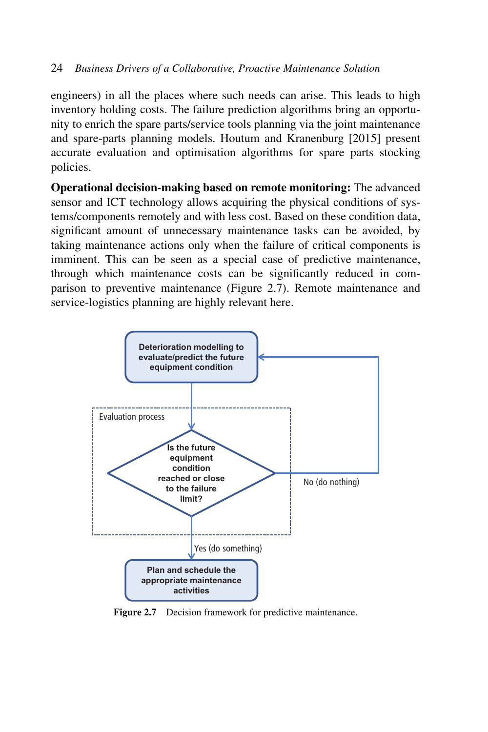engineers) in all the places where such needs can arise. This leads to high inventory holding costs. The failure prediction algorithms bring an opportunity to enrich the spare parts/service tools planning via the joint maintenance and spare-parts planning models. Houtum and Kranenburg [2015] present accurate evaluation and optimisation algorithms for spare parts stocking policies.

**Operational decision-making based on remote monitoring:** The advanced sensor and ICT technology allows acquiring the physical conditions of systems/components remotely and with less cost. Based on these condition data, significant amount of unnecessary maintenance tasks can be avoided, by taking maintenance actions only when the failure of critical components is imminent. This can be seen as a special case of predictive maintenance, through which maintenance costs can be significantly reduced in comparison to preventive maintenance (Figure 2.7). Remote maintenance and service-logistics planning are highly relevant here.



**Figure 2.7** Decision framework for predictive maintenance.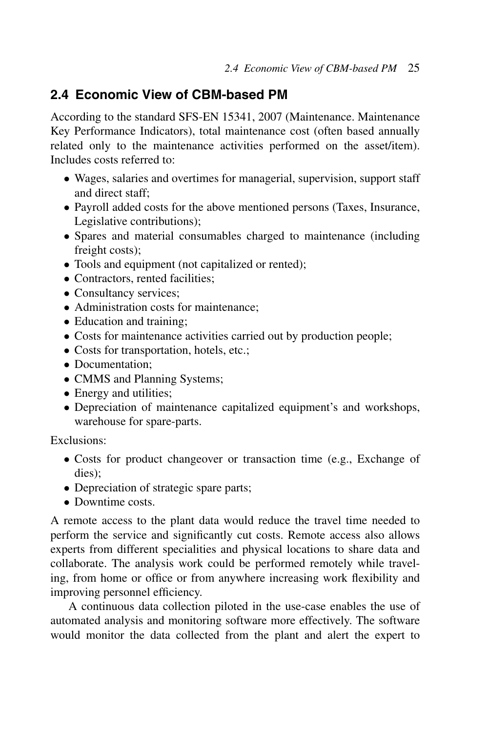# **2.4 Economic View of CBM-based PM**

According to the standard SFS-EN 15341, 2007 (Maintenance. Maintenance Key Performance Indicators), total maintenance cost (often based annually related only to the maintenance activities performed on the asset/item). Includes costs referred to:

- Wages, salaries and overtimes for managerial, supervision, support staff and direct staff;
- Payroll added costs for the above mentioned persons (Taxes, Insurance, Legislative contributions);
- Spares and material consumables charged to maintenance (including freight costs);
- Tools and equipment (not capitalized or rented);
- Contractors, rented facilities;
- Consultancy services:
- Administration costs for maintenance:
- Education and training;
- Costs for maintenance activities carried out by production people;
- Costs for transportation, hotels, etc.;
- Documentation;
- CMMS and Planning Systems;
- Energy and utilities;
- Depreciation of maintenance capitalized equipment's and workshops, warehouse for spare-parts.

Exclusions:

- Costs for product changeover or transaction time (e.g., Exchange of dies);
- Depreciation of strategic spare parts;
- Downtime costs.

A remote access to the plant data would reduce the travel time needed to perform the service and significantly cut costs. Remote access also allows experts from different specialities and physical locations to share data and collaborate. The analysis work could be performed remotely while traveling, from home or office or from anywhere increasing work flexibility and improving personnel efficiency.

A continuous data collection piloted in the use-case enables the use of automated analysis and monitoring software more effectively. The software would monitor the data collected from the plant and alert the expert to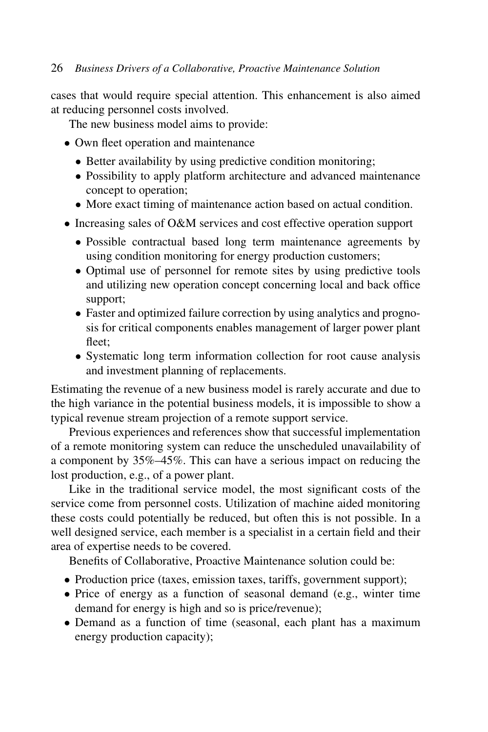cases that would require special attention. This enhancement is also aimed at reducing personnel costs involved.

The new business model aims to provide:

- Own fleet operation and maintenance
	- Better availability by using predictive condition monitoring;
	- Possibility to apply platform architecture and advanced maintenance concept to operation;
	- More exact timing of maintenance action based on actual condition.
- Increasing sales of O&M services and cost effective operation support
	- Possible contractual based long term maintenance agreements by using condition monitoring for energy production customers;
	- Optimal use of personnel for remote sites by using predictive tools and utilizing new operation concept concerning local and back office support;
	- Faster and optimized failure correction by using analytics and prognosis for critical components enables management of larger power plant fleet;
	- Systematic long term information collection for root cause analysis and investment planning of replacements.

Estimating the revenue of a new business model is rarely accurate and due to the high variance in the potential business models, it is impossible to show a typical revenue stream projection of a remote support service.

Previous experiences and references show that successful implementation of a remote monitoring system can reduce the unscheduled unavailability of a component by 35%–45%. This can have a serious impact on reducing the lost production, e.g., of a power plant.

Like in the traditional service model, the most significant costs of the service come from personnel costs. Utilization of machine aided monitoring these costs could potentially be reduced, but often this is not possible. In a well designed service, each member is a specialist in a certain field and their area of expertise needs to be covered.

Benefits of Collaborative, Proactive Maintenance solution could be:

- Production price (taxes, emission taxes, tariffs, government support);
- Price of energy as a function of seasonal demand (e.g., winter time demand for energy is high and so is price/revenue);
- Demand as a function of time (seasonal, each plant has a maximum energy production capacity);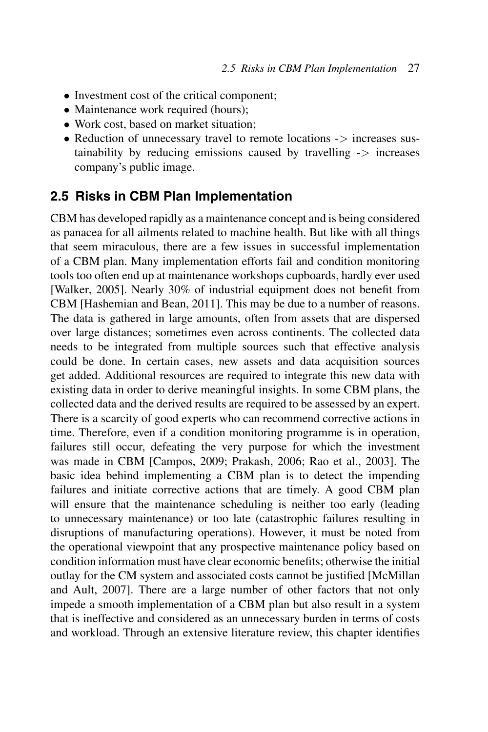- Investment cost of the critical component;
- Maintenance work required (hours);
- Work cost, based on market situation:
- Reduction of unnecessary travel to remote locations  $\rightarrow$  increases sustainability by reducing emissions caused by travelling  $\rightarrow$  increases company's public image.

### **2.5 Risks in CBM Plan Implementation**

CBM has developed rapidly as a maintenance concept and is being considered as panacea for all ailments related to machine health. But like with all things that seem miraculous, there are a few issues in successful implementation of a CBM plan. Many implementation efforts fail and condition monitoring tools too often end up at maintenance workshops cupboards, hardly ever used [Walker, 2005]. Nearly 30% of industrial equipment does not benefit from CBM [Hashemian and Bean, 2011]. This may be due to a number of reasons. The data is gathered in large amounts, often from assets that are dispersed over large distances; sometimes even across continents. The collected data needs to be integrated from multiple sources such that effective analysis could be done. In certain cases, new assets and data acquisition sources get added. Additional resources are required to integrate this new data with existing data in order to derive meaningful insights. In some CBM plans, the collected data and the derived results are required to be assessed by an expert. There is a scarcity of good experts who can recommend corrective actions in time. Therefore, even if a condition monitoring programme is in operation, failures still occur, defeating the very purpose for which the investment was made in CBM [Campos, 2009; Prakash, 2006; Rao et al., 2003]. The basic idea behind implementing a CBM plan is to detect the impending failures and initiate corrective actions that are timely. A good CBM plan will ensure that the maintenance scheduling is neither too early (leading to unnecessary maintenance) or too late (catastrophic failures resulting in disruptions of manufacturing operations). However, it must be noted from the operational viewpoint that any prospective maintenance policy based on condition information must have clear economic benefits; otherwise the initial outlay for the CM system and associated costs cannot be justified [McMillan and Ault, 2007]. There are a large number of other factors that not only impede a smooth implementation of a CBM plan but also result in a system that is ineffective and considered as an unnecessary burden in terms of costs and workload. Through an extensive literature review, this chapter identifies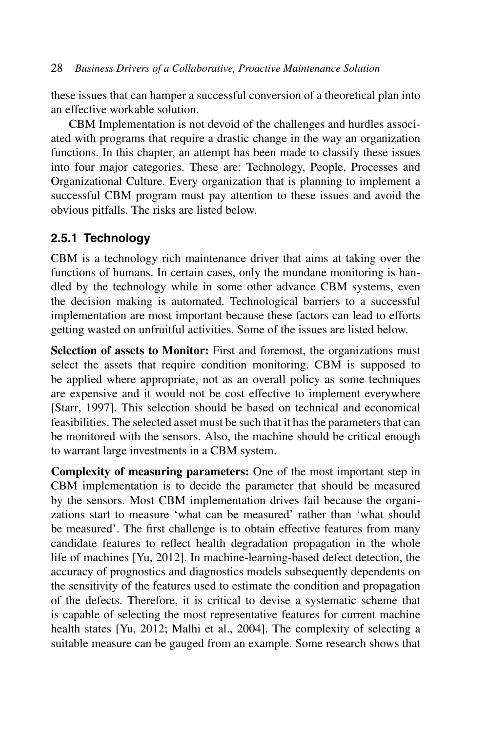these issues that can hamper a successful conversion of a theoretical plan into an effective workable solution.

CBM Implementation is not devoid of the challenges and hurdles associated with programs that require a drastic change in the way an organization functions. In this chapter, an attempt has been made to classify these issues into four major categories. These are: Technology, People, Processes and Organizational Culture. Every organization that is planning to implement a successful CBM program must pay attention to these issues and avoid the obvious pitfalls. The risks are listed below.

# **2.5.1 Technology**

CBM is a technology rich maintenance driver that aims at taking over the functions of humans. In certain cases, only the mundane monitoring is handled by the technology while in some other advance CBM systems, even the decision making is automated. Technological barriers to a successful implementation are most important because these factors can lead to efforts getting wasted on unfruitful activities. Some of the issues are listed below.

**Selection of assets to Monitor:** First and foremost, the organizations must select the assets that require condition monitoring. CBM is supposed to be applied where appropriate, not as an overall policy as some techniques are expensive and it would not be cost effective to implement everywhere [Starr, 1997]. This selection should be based on technical and economical feasibilities. The selected asset must be such that it has the parameters that can be monitored with the sensors. Also, the machine should be critical enough to warrant large investments in a CBM system.

**Complexity of measuring parameters:** One of the most important step in CBM implementation is to decide the parameter that should be measured by the sensors. Most CBM implementation drives fail because the organizations start to measure 'what can be measured' rather than 'what should be measured'. The first challenge is to obtain effective features from many candidate features to reflect health degradation propagation in the whole life of machines [Yu, 2012]. In machine-learning-based defect detection, the accuracy of prognostics and diagnostics models subsequently dependents on the sensitivity of the features used to estimate the condition and propagation of the defects. Therefore, it is critical to devise a systematic scheme that is capable of selecting the most representative features for current machine health states [Yu, 2012; Malhi et al., 2004]. The complexity of selecting a suitable measure can be gauged from an example. Some research shows that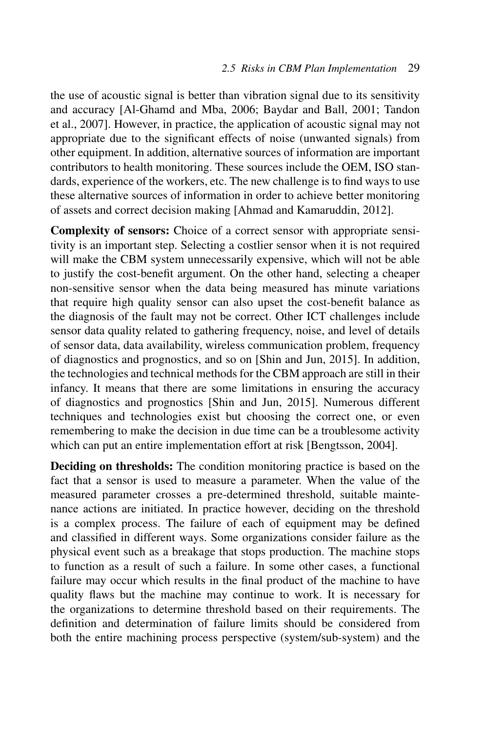the use of acoustic signal is better than vibration signal due to its sensitivity and accuracy [Al-Ghamd and Mba, 2006; Baydar and Ball, 2001; Tandon et al., 2007]. However, in practice, the application of acoustic signal may not appropriate due to the significant effects of noise (unwanted signals) from other equipment. In addition, alternative sources of information are important contributors to health monitoring. These sources include the OEM, ISO standards, experience of the workers, etc. The new challenge is to find ways to use these alternative sources of information in order to achieve better monitoring of assets and correct decision making [Ahmad and Kamaruddin, 2012].

**Complexity of sensors:** Choice of a correct sensor with appropriate sensitivity is an important step. Selecting a costlier sensor when it is not required will make the CBM system unnecessarily expensive, which will not be able to justify the cost-benefit argument. On the other hand, selecting a cheaper non-sensitive sensor when the data being measured has minute variations that require high quality sensor can also upset the cost-benefit balance as the diagnosis of the fault may not be correct. Other ICT challenges include sensor data quality related to gathering frequency, noise, and level of details of sensor data, data availability, wireless communication problem, frequency of diagnostics and prognostics, and so on [Shin and Jun, 2015]. In addition, the technologies and technical methods for the CBM approach are still in their infancy. It means that there are some limitations in ensuring the accuracy of diagnostics and prognostics [Shin and Jun, 2015]. Numerous different techniques and technologies exist but choosing the correct one, or even remembering to make the decision in due time can be a troublesome activity which can put an entire implementation effort at risk [Bengtsson, 2004].

**Deciding on thresholds:** The condition monitoring practice is based on the fact that a sensor is used to measure a parameter. When the value of the measured parameter crosses a pre-determined threshold, suitable maintenance actions are initiated. In practice however, deciding on the threshold is a complex process. The failure of each of equipment may be defined and classified in different ways. Some organizations consider failure as the physical event such as a breakage that stops production. The machine stops to function as a result of such a failure. In some other cases, a functional failure may occur which results in the final product of the machine to have quality flaws but the machine may continue to work. It is necessary for the organizations to determine threshold based on their requirements. The definition and determination of failure limits should be considered from both the entire machining process perspective (system/sub-system) and the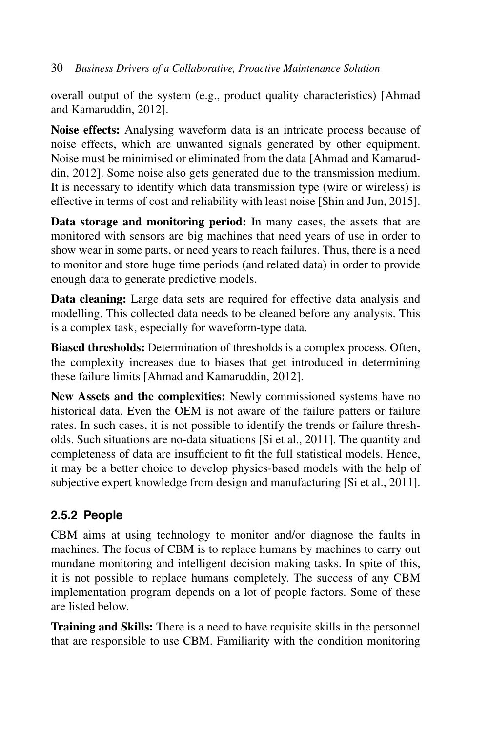overall output of the system (e.g., product quality characteristics) [Ahmad and Kamaruddin, 2012].

**Noise effects:** Analysing waveform data is an intricate process because of noise effects, which are unwanted signals generated by other equipment. Noise must be minimised or eliminated from the data [Ahmad and Kamaruddin, 2012]. Some noise also gets generated due to the transmission medium. It is necessary to identify which data transmission type (wire or wireless) is effective in terms of cost and reliability with least noise [Shin and Jun, 2015].

**Data storage and monitoring period:** In many cases, the assets that are monitored with sensors are big machines that need years of use in order to show wear in some parts, or need years to reach failures. Thus, there is a need to monitor and store huge time periods (and related data) in order to provide enough data to generate predictive models.

**Data cleaning:** Large data sets are required for effective data analysis and modelling. This collected data needs to be cleaned before any analysis. This is a complex task, especially for waveform-type data.

**Biased thresholds:** Determination of thresholds is a complex process. Often, the complexity increases due to biases that get introduced in determining these failure limits [Ahmad and Kamaruddin, 2012].

**New Assets and the complexities:** Newly commissioned systems have no historical data. Even the OEM is not aware of the failure patters or failure rates. In such cases, it is not possible to identify the trends or failure thresholds. Such situations are no-data situations [Si et al., 2011]. The quantity and completeness of data are insufficient to fit the full statistical models. Hence, it may be a better choice to develop physics-based models with the help of subjective expert knowledge from design and manufacturing [Si et al., 2011].

# **2.5.2 People**

CBM aims at using technology to monitor and/or diagnose the faults in machines. The focus of CBM is to replace humans by machines to carry out mundane monitoring and intelligent decision making tasks. In spite of this, it is not possible to replace humans completely. The success of any CBM implementation program depends on a lot of people factors. Some of these are listed below.

**Training and Skills:** There is a need to have requisite skills in the personnel that are responsible to use CBM. Familiarity with the condition monitoring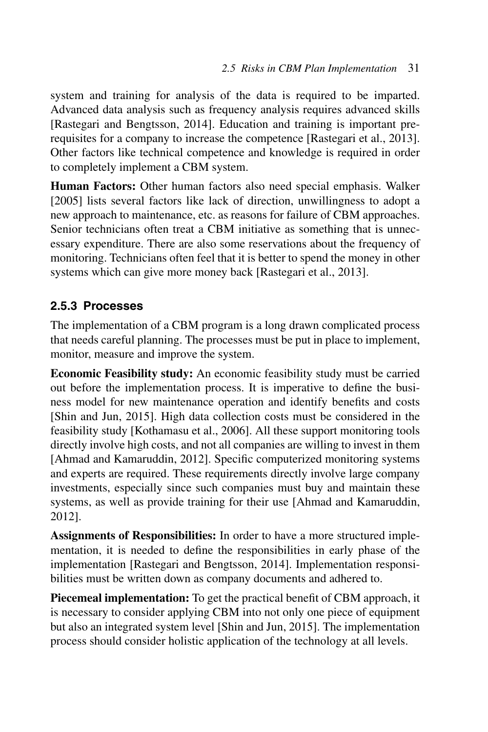system and training for analysis of the data is required to be imparted. Advanced data analysis such as frequency analysis requires advanced skills [Rastegari and Bengtsson, 2014]. Education and training is important prerequisites for a company to increase the competence [Rastegari et al., 2013]. Other factors like technical competence and knowledge is required in order to completely implement a CBM system.

**Human Factors:** Other human factors also need special emphasis. Walker [2005] lists several factors like lack of direction, unwillingness to adopt a new approach to maintenance, etc. as reasons for failure of CBM approaches. Senior technicians often treat a CBM initiative as something that is unnecessary expenditure. There are also some reservations about the frequency of monitoring. Technicians often feel that it is better to spend the money in other systems which can give more money back [Rastegari et al., 2013].

# **2.5.3 Processes**

The implementation of a CBM program is a long drawn complicated process that needs careful planning. The processes must be put in place to implement, monitor, measure and improve the system.

**Economic Feasibility study:** An economic feasibility study must be carried out before the implementation process. It is imperative to define the business model for new maintenance operation and identify benefits and costs [Shin and Jun, 2015]. High data collection costs must be considered in the feasibility study [Kothamasu et al., 2006]. All these support monitoring tools directly involve high costs, and not all companies are willing to invest in them [Ahmad and Kamaruddin, 2012]. Specific computerized monitoring systems and experts are required. These requirements directly involve large company investments, especially since such companies must buy and maintain these systems, as well as provide training for their use [Ahmad and Kamaruddin, 2012].

**Assignments of Responsibilities:** In order to have a more structured implementation, it is needed to define the responsibilities in early phase of the implementation [Rastegari and Bengtsson, 2014]. Implementation responsibilities must be written down as company documents and adhered to.

**Piecemeal implementation:** To get the practical benefit of CBM approach, it is necessary to consider applying CBM into not only one piece of equipment but also an integrated system level [Shin and Jun, 2015]. The implementation process should consider holistic application of the technology at all levels.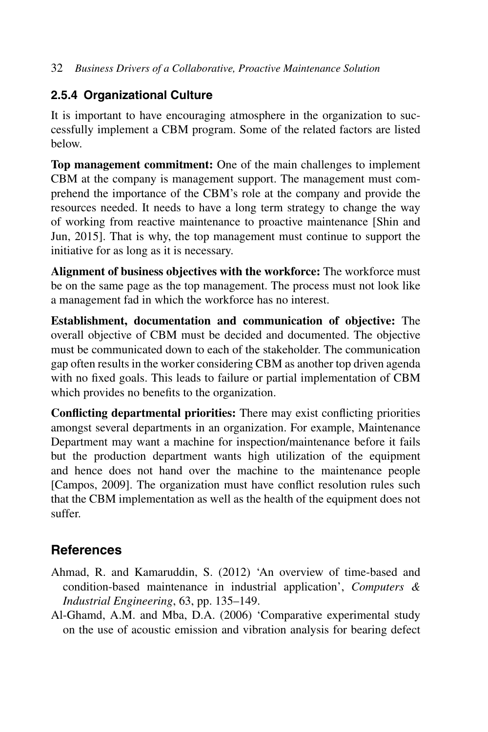## **2.5.4 Organizational Culture**

It is important to have encouraging atmosphere in the organization to successfully implement a CBM program. Some of the related factors are listed below.

**Top management commitment:** One of the main challenges to implement CBM at the company is management support. The management must comprehend the importance of the CBM's role at the company and provide the resources needed. It needs to have a long term strategy to change the way of working from reactive maintenance to proactive maintenance [Shin and Jun, 2015]. That is why, the top management must continue to support the initiative for as long as it is necessary.

**Alignment of business objectives with the workforce:** The workforce must be on the same page as the top management. The process must not look like a management fad in which the workforce has no interest.

**Establishment, documentation and communication of objective:** The overall objective of CBM must be decided and documented. The objective must be communicated down to each of the stakeholder. The communication gap often results in the worker considering CBM as another top driven agenda with no fixed goals. This leads to failure or partial implementation of CBM which provides no benefits to the organization.

**Conflicting departmental priorities:** There may exist conflicting priorities amongst several departments in an organization. For example, Maintenance Department may want a machine for inspection/maintenance before it fails but the production department wants high utilization of the equipment and hence does not hand over the machine to the maintenance people [Campos, 2009]. The organization must have conflict resolution rules such that the CBM implementation as well as the health of the equipment does not suffer.

# **References**

- Ahmad, R. and Kamaruddin, S. (2012) 'An overview of time-based and condition-based maintenance in industrial application', *Computers & Industrial Engineering*, 63, pp. 135–149.
- Al-Ghamd, A.M. and Mba, D.A. (2006) 'Comparative experimental study on the use of acoustic emission and vibration analysis for bearing defect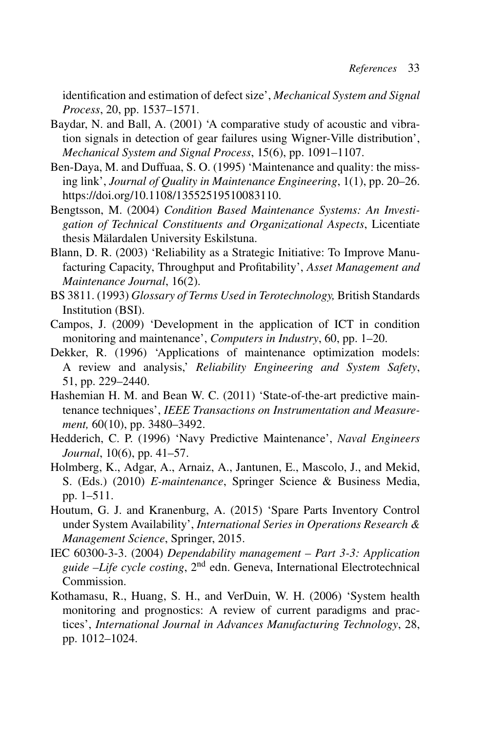identification and estimation of defect size', *Mechanical System and Signal Process*, 20, pp. 1537–1571.

- Baydar, N. and Ball, A. (2001) 'A comparative study of acoustic and vibration signals in detection of gear failures using Wigner-Ville distribution', *Mechanical System and Signal Process*, 15(6), pp. 1091–1107.
- Ben-Daya, M. and Duffuaa, S. O. (1995) 'Maintenance and quality: the missing link', *Journal of Quality in Maintenance Engineering*, 1(1), pp. 20–26. https://doi.org/10.1108/13552519510083110.
- Bengtsson, M. (2004) *Condition Based Maintenance Systems: An Investigation of Technical Constituents and Organizational Aspects*, Licentiate thesis Mälardalen University Eskilstuna.
- Blann, D. R. (2003) 'Reliability as a Strategic Initiative: To Improve Manufacturing Capacity, Throughput and Profitability', *Asset Management and Maintenance Journal*, 16(2).
- BS 3811. (1993) *Glossary of Terms Used in Terotechnology,* British Standards Institution (BSI).
- Campos, J. (2009) 'Development in the application of ICT in condition monitoring and maintenance', *Computers in Industry*, 60, pp. 1–20.
- Dekker, R. (1996) 'Applications of maintenance optimization models: A review and analysis,' *Reliability Engineering and System Safety*, 51, pp. 229–2440.
- Hashemian H. M. and Bean W. C. (2011) 'State-of-the-art predictive maintenance techniques', *IEEE Transactions on Instrumentation and Measurement,* 60(10), pp. 3480–3492.
- Hedderich, C. P. (1996) 'Navy Predictive Maintenance', *Naval Engineers Journal*, 10(6), pp. 41–57.
- Holmberg, K., Adgar, A., Arnaiz, A., Jantunen, E., Mascolo, J., and Mekid, S. (Eds.) (2010) *E-maintenance*, Springer Science & Business Media, pp. 1–511.
- Houtum, G. J. and Kranenburg, A. (2015) 'Spare Parts Inventory Control under System Availability', *International Series in Operations Research & Management Science*, Springer, 2015.
- IEC 60300-3-3. (2004) *Dependability management Part 3-3: Application guide –Life cycle costing*, 2nd edn. Geneva, International Electrotechnical Commission.
- Kothamasu, R., Huang, S. H., and VerDuin, W. H. (2006) 'System health monitoring and prognostics: A review of current paradigms and practices', *International Journal in Advances Manufacturing Technology*, 28, pp. 1012–1024.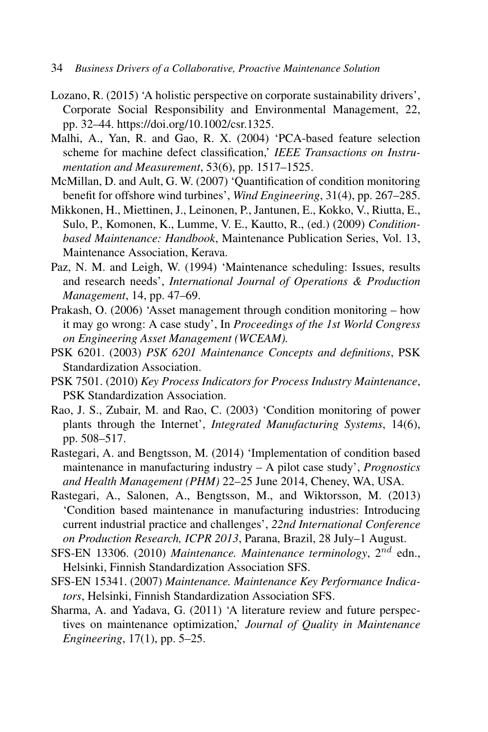- 34 *Business Drivers of a Collaborative, Proactive Maintenance Solution*
- Lozano, R. (2015) 'A holistic perspective on corporate sustainability drivers', Corporate Social Responsibility and Environmental Management, 22, pp. 32–44. https://doi.org/10.1002/csr.1325.
- Malhi, A., Yan, R. and Gao, R. X. (2004) 'PCA-based feature selection scheme for machine defect classification,' *IEEE Transactions on Instrumentation and Measurement*, 53(6), pp. 1517–1525.
- McMillan, D. and Ault, G. W. (2007) 'Quantification of condition monitoring benefit for offshore wind turbines', *Wind Engineering*, 31(4), pp. 267–285.
- Mikkonen, H., Miettinen, J., Leinonen, P., Jantunen, E., Kokko, V., Riutta, E., Sulo, P., Komonen, K., Lumme, V. E., Kautto, R., (ed.) (2009) *Conditionbased Maintenance: Handbook*, Maintenance Publication Series, Vol. 13, Maintenance Association, Kerava.
- Paz, N. M. and Leigh, W. (1994) 'Maintenance scheduling: Issues, results and research needs', *International Journal of Operations & Production Management*, 14, pp. 47–69.
- Prakash, O. (2006) 'Asset management through condition monitoring how it may go wrong: A case study', In *Proceedings of the 1st World Congress on Engineering Asset Management (WCEAM).*
- PSK 6201. (2003) *PSK 6201 Maintenance Concepts and definitions*, PSK Standardization Association.
- PSK 7501. (2010) *Key Process Indicators for Process Industry Maintenance*, PSK Standardization Association.
- Rao, J. S., Zubair, M. and Rao, C. (2003) 'Condition monitoring of power plants through the Internet', *Integrated Manufacturing Systems*, 14(6), pp. 508–517.
- Rastegari, A. and Bengtsson, M. (2014) 'Implementation of condition based maintenance in manufacturing industry – A pilot case study', *Prognostics and Health Management (PHM)* 22–25 June 2014, Cheney, WA, USA.
- Rastegari, A., Salonen, A., Bengtsson, M., and Wiktorsson, M. (2013) 'Condition based maintenance in manufacturing industries: Introducing current industrial practice and challenges', *22nd International Conference on Production Research, ICPR 2013*, Parana, Brazil, 28 July–1 August.
- SFS-EN 13306. (2010) *Maintenance. Maintenance terminology*, 2nd edn., Helsinki, Finnish Standardization Association SFS.
- SFS-EN 15341. (2007) *Maintenance. Maintenance Key Performance Indicators*, Helsinki, Finnish Standardization Association SFS.
- Sharma, A. and Yadava, G. (2011) 'A literature review and future perspectives on maintenance optimization,' *Journal of Quality in Maintenance Engineering*, 17(1), pp. 5–25.